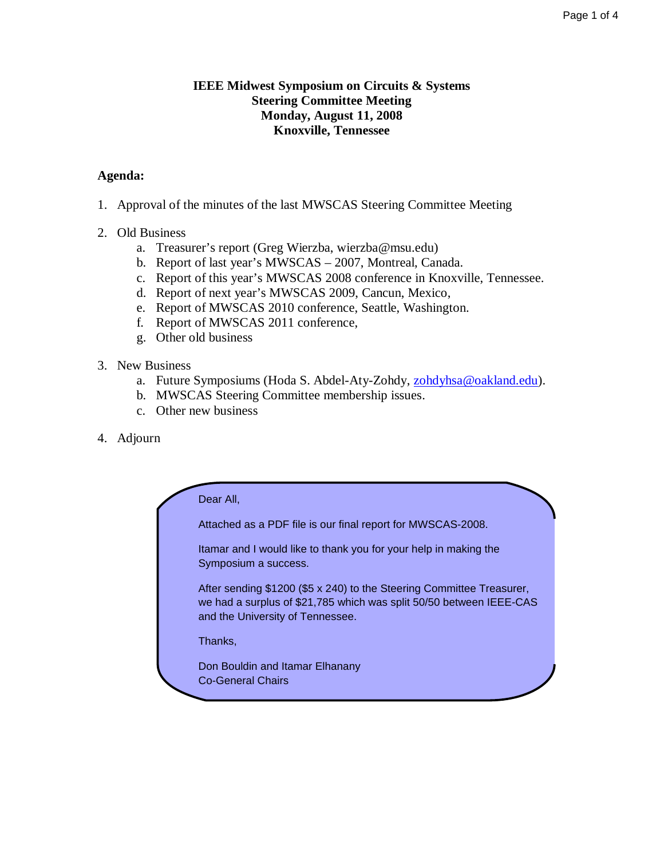## **IEEE Midwest Symposium on Circuits & Systems Steering Committee Meeting Monday, August 11, 2008 Knoxville, Tennessee**

# **Agenda:**

- 1. Approval of the minutes of the last MWSCAS Steering Committee Meeting
- 2. Old Business
	- a. Treasurer's report (Greg Wierzba, wierzba@msu.edu)
	- b. Report of last year's MWSCAS 2007, Montreal, Canada.
	- c. Report of this year's MWSCAS 2008 conference in Knoxville, Tennessee.
	- d. Report of next year's MWSCAS 2009, Cancun, Mexico,
	- e. Report of MWSCAS 2010 conference, Seattle, Washington.
	- f. Report of MWSCAS 2011 conference,
	- g. Other old business

# 3. New Business

- a. Future Symposiums (Hoda S. Abdel-Aty-Zohdy, zohdyhsa@oakland.edu).
- b. MWSCAS Steering Committee membership issues.
- c. Other new business
- 4. Adjourn

| Dear All,                                                                                                                                                                        |
|----------------------------------------------------------------------------------------------------------------------------------------------------------------------------------|
| Attached as a PDF file is our final report for MWSCAS-2008.                                                                                                                      |
| Itamar and I would like to thank you for your help in making the<br>Symposium a success.                                                                                         |
| After sending \$1200 (\$5 x 240) to the Steering Committee Treasurer,<br>we had a surplus of \$21,785 which was split 50/50 between IEEE-CAS<br>and the University of Tennessee. |
| Thanks,                                                                                                                                                                          |
| Don Bouldin and Itamar Elhanany<br><b>Co-General Chairs</b>                                                                                                                      |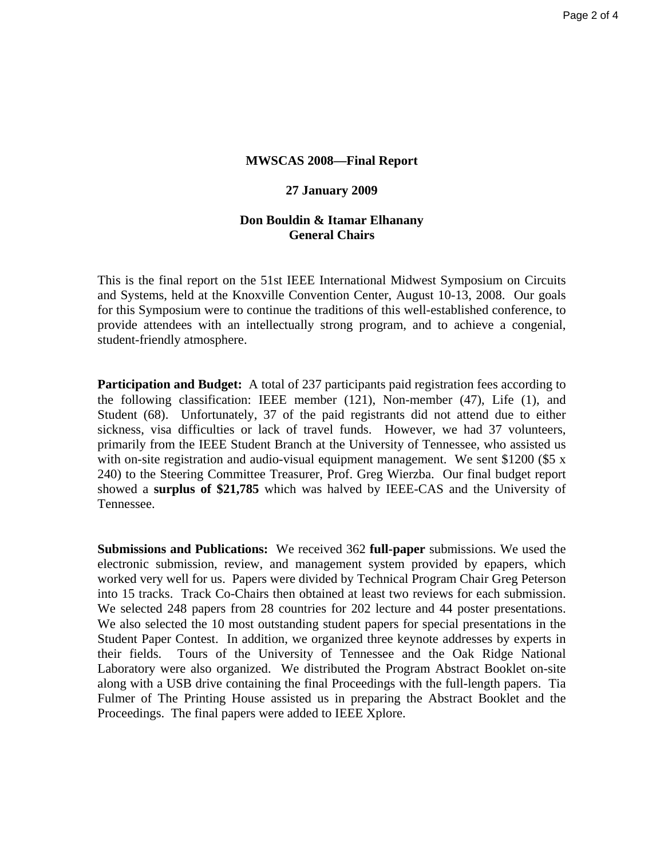## **MWSCAS 2008—Final Report**

## **27 January 2009**

## **Don Bouldin & Itamar Elhanany General Chairs**

This is the final report on the 51st IEEE International Midwest Symposium on Circuits and Systems, held at the Knoxville Convention Center, August 10-13, 2008. Our goals for this Symposium were to continue the traditions of this well-established conference, to provide attendees with an intellectually strong program, and to achieve a congenial, student-friendly atmosphere.

**Participation and Budget:** A total of 237 participants paid registration fees according to the following classification: IEEE member (121), Non-member (47), Life (1), and Student (68). Unfortunately, 37 of the paid registrants did not attend due to either sickness, visa difficulties or lack of travel funds. However, we had 37 volunteers, primarily from the IEEE Student Branch at the University of Tennessee, who assisted us with on-site registration and audio-visual equipment management. We sent \$1200 (\$5 x 240) to the Steering Committee Treasurer, Prof. Greg Wierzba. Our final budget report showed a **surplus of \$21,785** which was halved by IEEE-CAS and the University of Tennessee.

**Submissions and Publications:** We received 362 **full-paper** submissions. We used the electronic submission, review, and management system provided by epapers, which worked very well for us. Papers were divided by Technical Program Chair Greg Peterson into 15 tracks. Track Co-Chairs then obtained at least two reviews for each submission. We selected 248 papers from 28 countries for 202 lecture and 44 poster presentations. We also selected the 10 most outstanding student papers for special presentations in the Student Paper Contest. In addition, we organized three keynote addresses by experts in their fields. Tours of the University of Tennessee and the Oak Ridge National Laboratory were also organized. We distributed the Program Abstract Booklet on-site along with a USB drive containing the final Proceedings with the full-length papers. Tia Fulmer of The Printing House assisted us in preparing the Abstract Booklet and the Proceedings. The final papers were added to IEEE Xplore.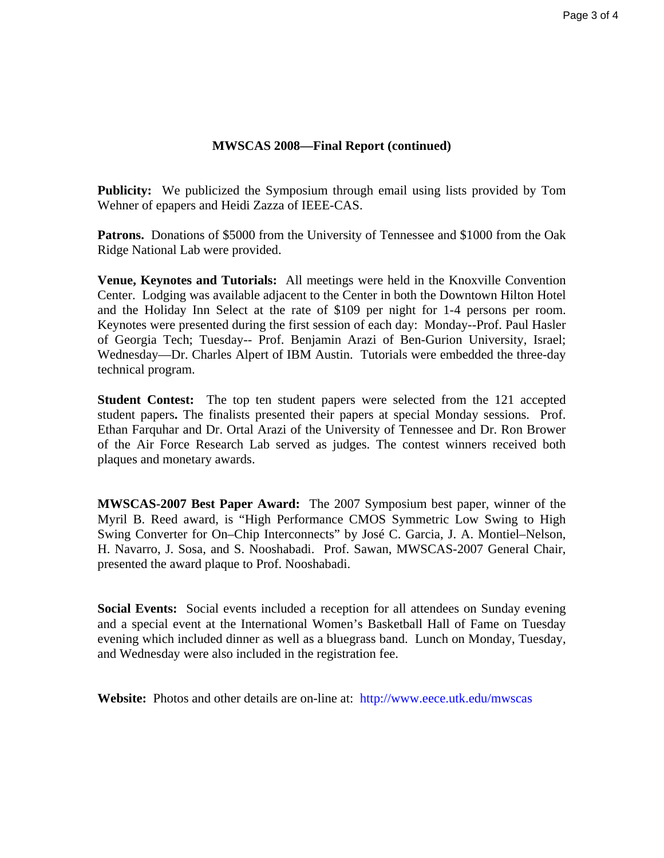## **MWSCAS 2008—Final Report (continued)**

**Publicity:** We publicized the Symposium through email using lists provided by Tom Wehner of epapers and Heidi Zazza of IEEE-CAS.

**Patrons.** Donations of \$5000 from the University of Tennessee and \$1000 from the Oak Ridge National Lab were provided.

**Venue, Keynotes and Tutorials:** All meetings were held in the Knoxville Convention Center. Lodging was available adjacent to the Center in both the Downtown Hilton Hotel and the Holiday Inn Select at the rate of \$109 per night for 1-4 persons per room. Keynotes were presented during the first session of each day: Monday--Prof. Paul Hasler of Georgia Tech; Tuesday-- Prof. Benjamin Arazi of Ben-Gurion University, Israel; Wednesday—Dr. Charles Alpert of IBM Austin. Tutorials were embedded the three-day technical program.

**Student Contest:** The top ten student papers were selected from the 121 accepted student papers**.** The finalists presented their papers at special Monday sessions. Prof. Ethan Farquhar and Dr. Ortal Arazi of the University of Tennessee and Dr. Ron Brower of the Air Force Research Lab served as judges. The contest winners received both plaques and monetary awards.

**MWSCAS-2007 Best Paper Award:** The 2007 Symposium best paper, winner of the Myril B. Reed award, is "High Performance CMOS Symmetric Low Swing to High Swing Converter for On–Chip Interconnects" by José C. Garcia, J. A. Montiel–Nelson, H. Navarro, J. Sosa, and S. Nooshabadi. Prof. Sawan, MWSCAS-2007 General Chair, presented the award plaque to Prof. Nooshabadi.

**Social Events:** Social events included a reception for all attendees on Sunday evening and a special event at the International Women's Basketball Hall of Fame on Tuesday evening which included dinner as well as a bluegrass band. Lunch on Monday, Tuesday, and Wednesday were also included in the registration fee.

**Website:** Photos and other details are on-line at: http://www.eece.utk.edu/mwscas